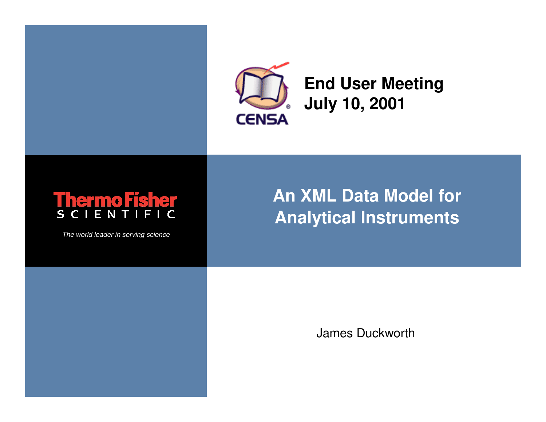

James Duckworth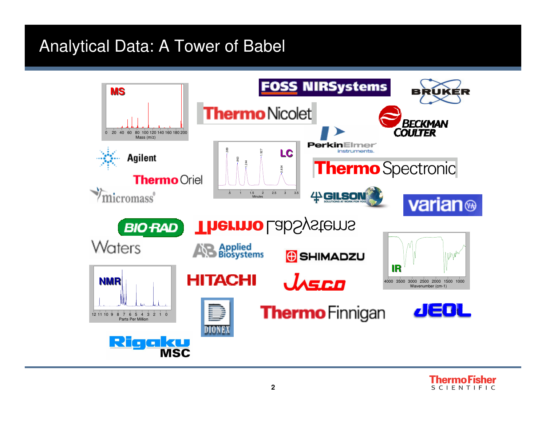#### Analytical Data: A Tower of Babel



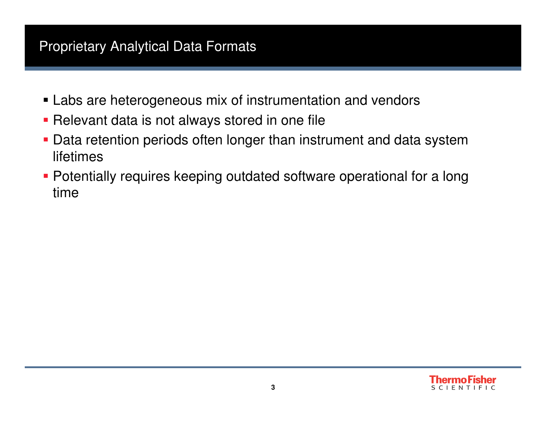#### Proprietary Analytical Data Formats

- Labs are heterogeneous mix of instrumentation and vendors
- **Relevant data is not always stored in one file**
- Data retention periods often longer than instrument and data system lifetimes
- Potentially requires keeping outdated software operational for a long time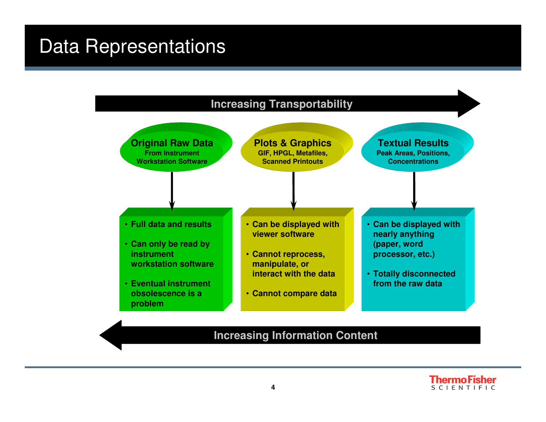### Data Representations



#### **Increasing Information Content**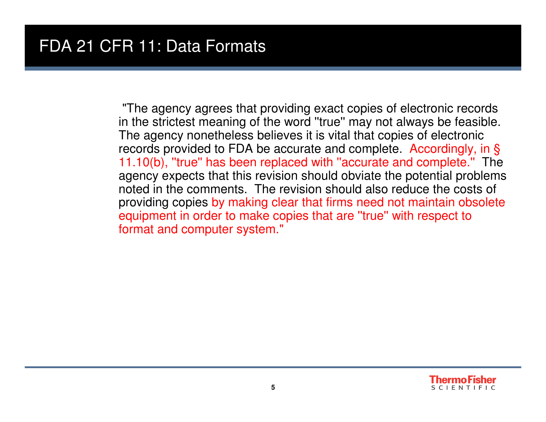"The agency agrees that providing exact copies of electronic records in the strictest meaning of the word ''true'' may not always be feasible. The agency nonetheless believes it is vital that copies of electronic records provided to FDA be accurate and complete. Accordingly, in § 11.10(b), ''true'' has been replaced with ''accurate and complete.'' The agency expects that this revision should obviate the potential problems noted in the comments. The revision should also reduce the costs of providing copies by making clear that firms need not maintain obsolete equipment in order to make copies that are ''true'' with respect to format and computer system."

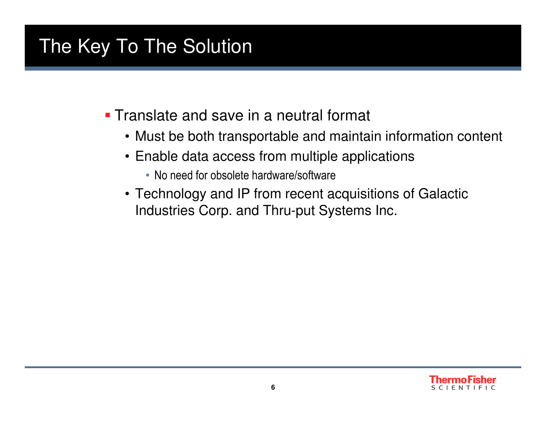## The Key To The Solution

**Translate and save in a neutral format** 

- Must be both transportable and maintain information content
- Enable data access from multiple applications
	- No need for obsolete hardware/software
- Technology and IP from recent acquisitions of Galactic Industries Corp. and Thru-put Systems Inc.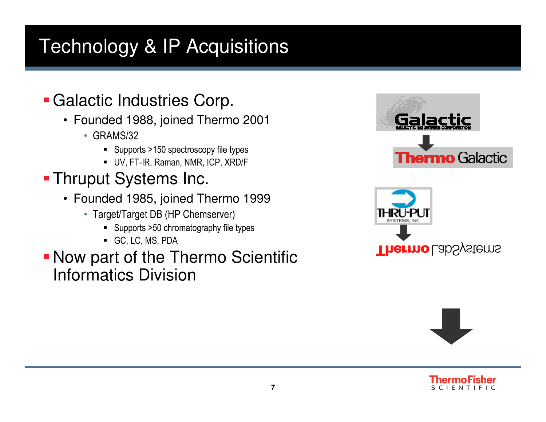## Technology & IP Acquisitions

## Galactic Industries Corp.

- Founded 1988, joined Thermo 2001
	- GRAMS/32
		- **Supports >150 spectroscopy file types**
		- UV, FT-IR, Raman, NMR, ICP, XRD/F
- Thruput Systems Inc.
	- Founded 1985, joined Thermo 1999
		- Target/Target DB (HP Chemserver)
			- Supports >50 chromatography file types
			- GC, LC, MS, PDA
- Now part of the Thermo Scientific Informatics Division







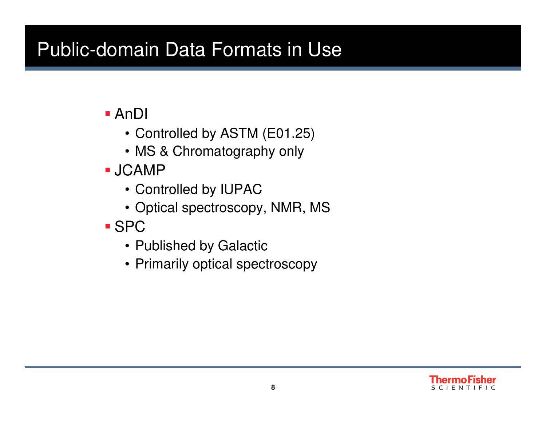## Public-domain Data Formats in Use

- AnDI
	- Controlled by ASTM (E01.25)
	- MS & Chromatography only
- JCAMP
	- Controlled by IUPAC
	- Optical spectroscopy, NMR, MS
- SPC
	- Published by Galactic
	- Primarily optical spectroscopy

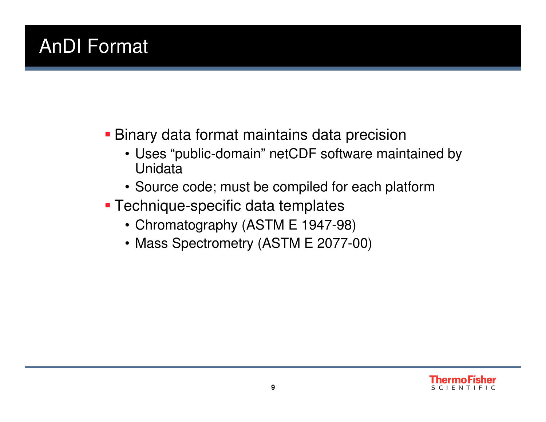## AnDI Format

- Binary data format maintains data precision
	- Uses "public-domain" netCDF software maintained by Unidata
	- Source code; must be compiled for each platform
- Technique-specific data templates
	- Chromatography (ASTM E 1947-98)
	- Mass Spectrometry (ASTM E 2077-00)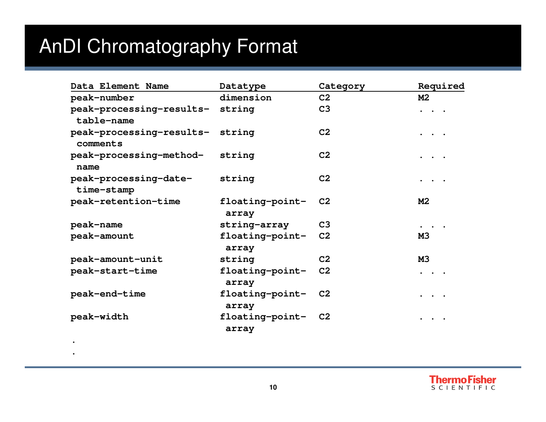# AnDI Chromatography Format

**..**

| Data Element Name                             | Datatype                    | Category       | Required                                           |
|-----------------------------------------------|-----------------------------|----------------|----------------------------------------------------|
| peak-number                                   | dimension                   | C <sub>2</sub> | M <sub>2</sub>                                     |
| peak-processing-results- string<br>table-name |                             | C <sub>3</sub> | $\ddot{\bullet}$ . $\ddot{\bullet}$ .              |
| peak-processing-results- string<br>comments   |                             | C <sub>2</sub> | $\ddot{\bullet}$ $\ddot{\bullet}$ $\ddot{\bullet}$ |
| peak-processing-method- string<br>name        |                             | C <sub>2</sub> | $\ddot{\bullet}$ $\ddot{\bullet}$ $\ddot{\bullet}$ |
| peak-processing-date-<br>time-stamp           | string                      | C <sub>2</sub> | $\ddot{\bullet}$ . $\ddot{\bullet}$ .              |
| peak-retention-time                           | floating-point-<br>array    | C <sub>2</sub> | M <sub>2</sub>                                     |
| peak-name                                     | string-array                | C <sub>3</sub> |                                                    |
| peak-amount                                   | floating-point-<br>array    | C <sub>2</sub> | <b>M3</b>                                          |
| peak-amount-unit                              | string                      | C <sub>2</sub> | <b>M3</b>                                          |
| peak-start-time                               | floating-point-<br>array    | C <sub>2</sub> | $\ddot{\phantom{a}}$                               |
| peak-end-time                                 | floating-point- C2<br>array |                | $\ddot{\bullet}$ $\ddot{\bullet}$ $\ddot{\bullet}$ |
| peak-width                                    | floating-point-<br>array    | C2             |                                                    |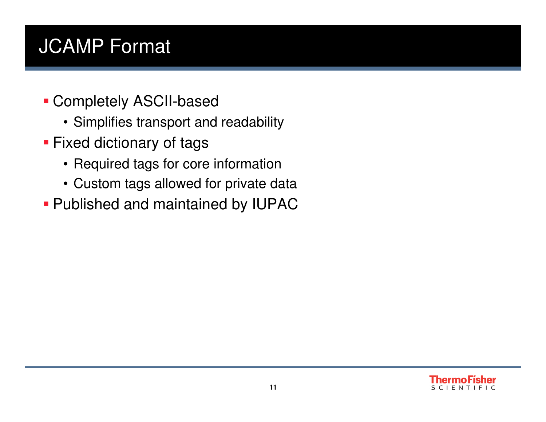## JCAMP Format

- Completely ASCII-based
	- Simplifies transport and readability
- **Fixed dictionary of tags** 
	- Required tags for core information
	- Custom tags allowed for private data
- Published and maintained by IUPAC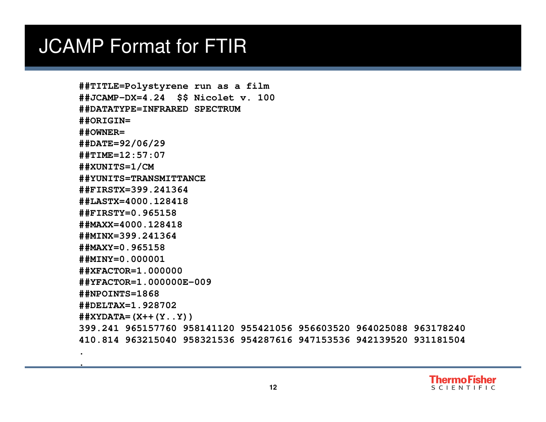#### JCAMP Format for FTIR

**.** 

```
##TITLE=Polystyrene run as a film
##JCAMP-DX=4.24 $$ Nicolet v. 100
##DATATYPE=INFRARED SPECTRUM##ORIGIN=
##OWNER=
##DATE=92/06/29
##TIME=12:57:07##XUNITS=1/CM
##YUNITS=TRANSMITTANCE##FIRSTX=399.241364
##LASTX=4000.128418##FIRSTY=0.965158
##MAXX=4000.128418
##MINX=399.241364##MAXY=0.965158
##MINY=0.000001
##XFACTOR=1.000000
##YFACTOR=1.000000E-009##NPOINTS=1868
##DELTAX=1.928702
##XYDATA=(X++(Y..Y))
399.241 965157760 958141120 955421056 956603520 964025088 963178240 
410.814 963215040 958321536 954287616 947153536 942139520 931181504
```
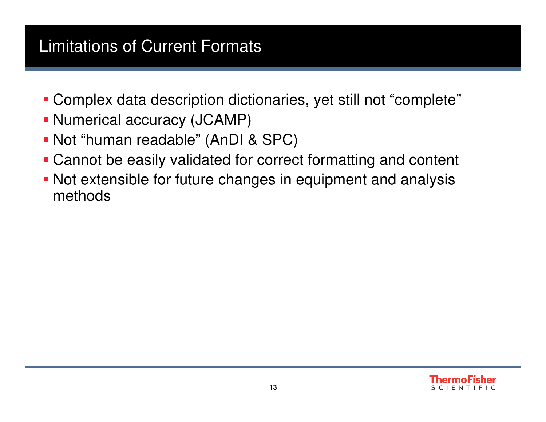#### Limitations of Current Formats

- Complex data description dictionaries, yet still not "complete"
- Numerical accuracy (JCAMP)
- Not "human readable" (AnDI & SPC)
- Cannot be easily validated for correct formatting and content
- Not extensible for future changes in equipment and analysis methods

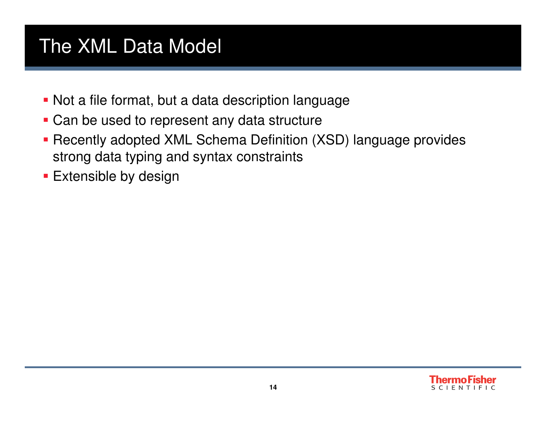### The XML Data Model

- Not a file format, but a data description language
- **Can be used to represent any data structure**
- Recently adopted XML Schema Definition (XSD) language provides strong data typing and syntax constraints
- **Extensible by design**

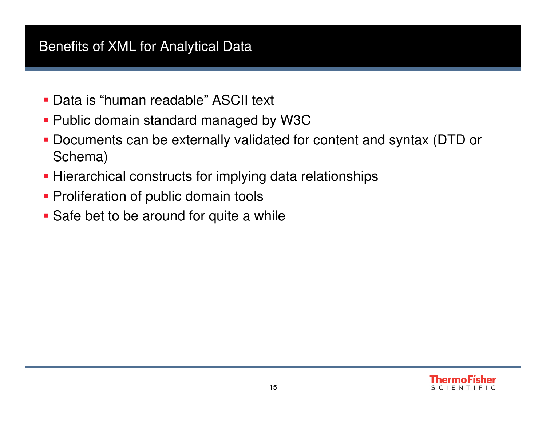#### Benefits of XML for Analytical Data

- Data is "human readable" ASCII text
- Public domain standard managed by W3C
- Documents can be externally validated for content and syntax (DTD or Schema)
- **Hierarchical constructs for implying data relationships**
- **Proliferation of public domain tools**
- **Safe bet to be around for quite a while**

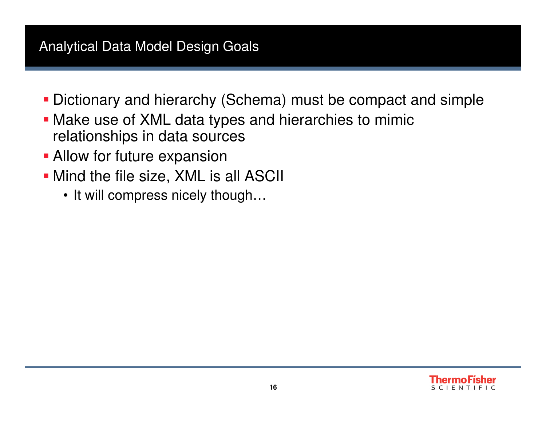#### Analytical Data Model Design Goals

- Dictionary and hierarchy (Schema) must be compact and simple
- Make use of XML data types and hierarchies to mimicrelationships in data sources
- **Allow for future expansion**
- **Mind the file size, XML is all ASCII** 
	- It will compress nicely though…

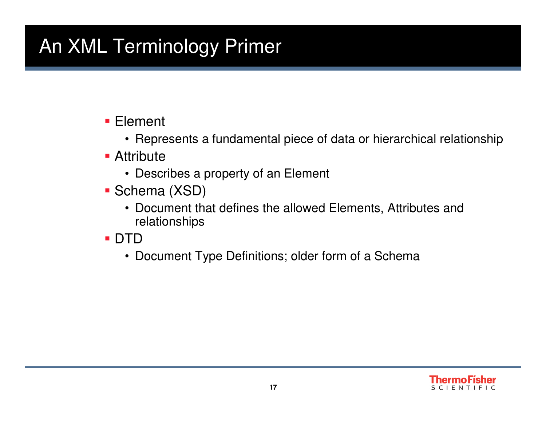# An XML Terminology Primer

- Element
	- Represents a fundamental piece of data or hierarchical relationship
- **Attribute** 
	- Describes a property of an Element
- Schema (XSD)
	- Document that defines the allowed Elements, Attributes and relationships
- DTD
	- Document Type Definitions; older form of a Schema

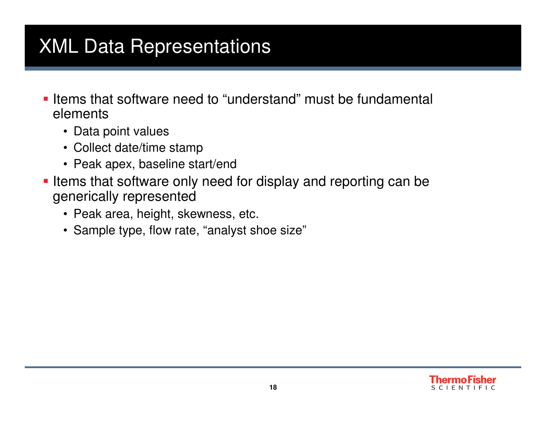## XML Data Representations

- **Items that software need to "understand" must be fundamental** elements
	- Data point values
	- Collect date/time stamp
	- Peak apex, baseline start/end
- **I** Items that software only need for display and reporting can be generically represented
	- Peak area, height, skewness, etc.
	- Sample type, flow rate, "analyst shoe size"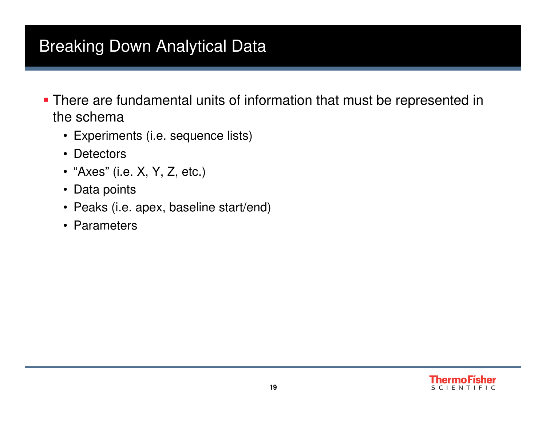#### Breaking Down Analytical Data

- **There are fundamental units of information that must be represented in** the schema
	- Experiments (i.e. sequence lists)
	- Detectors
	- "Axes" (i.e. X, Y, Z, etc.)
	- Data points
	- Peaks (i.e. apex, baseline start/end)
	- Parameters

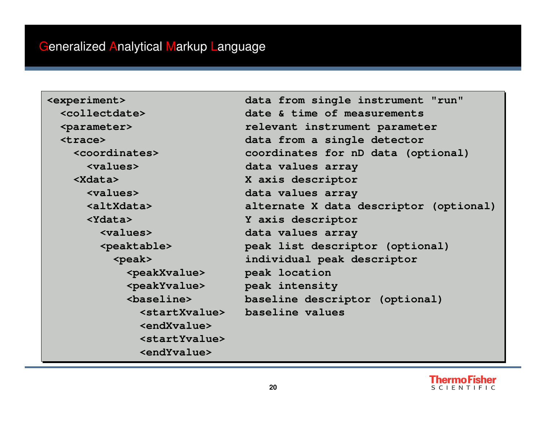**<Xdata> X axis descriptor <Xdata> X axis descriptor <endXvalue><endXvalue> <startYvalue> <startYvalue><endYvalue><endYvalue>**

**<experiment> data from single instrument "run" <experiment> data from single instrument "run" <collectdate> date & time of measurements <collectdate> date & time of measurements <parameter> relevant instrument parameter <parameter> relevant instrument parameter <trace> data from a single detector <trace> data from a single detector <coordinates> coordinates for nD data (optional) <coordinates> coordinates for nD data (optional) <values> data values array<values> data values array<values> data values array <values> data values array <altXdata> alternate X data descriptor (optional) <altXdata> alternate X data descriptor (optional) <Ydata> Y axis descriptor <Ydata> Y axis descriptor <values> data values array <values> data values array <peaktable> peak list descriptor (optional) <peaktable> peak list descriptor (optional) <peak> individual peak descriptor <peak> individual peak descriptor <peakXvalue> peak location <peakXvalue> peak location <peakYvalue> peak intensity <peakYvalue> peak intensity <baseline> baseline descriptor (optional) <baseline> baseline descriptor (optional) <startXvalue> baseline values<startXvalue> baseline values**

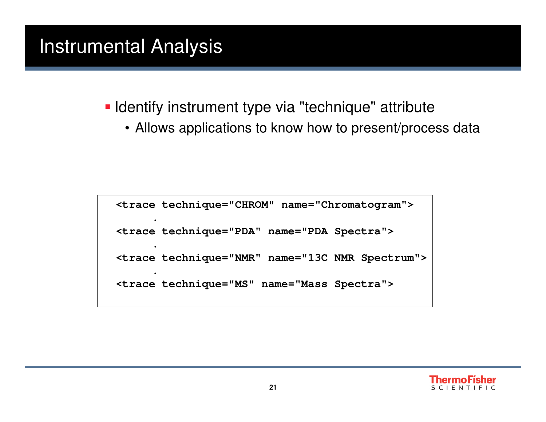### Instrumental Analysis

**I** Identify instrument type via "technique" attribute

• Allows applications to know how to present/process data

```
<trace technique="CHROM" name="Chromatogram">.
<trace technique="PDA" name="PDA Spectra">
<trace technique="NMR" name="13C NMR Spectrum">.
<trace technique="MS" name="Mass Spectra">
```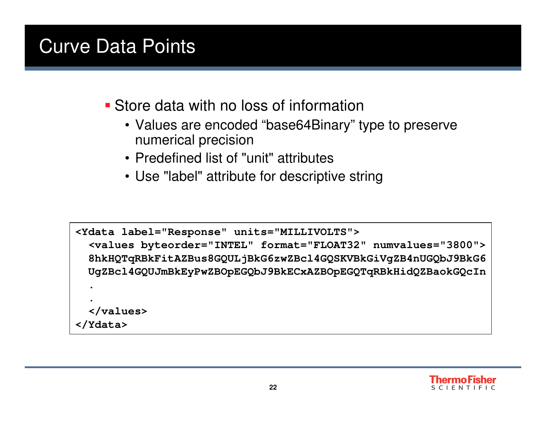## Curve Data Points

- **Store data with no loss of information** 
	- Values are encoded "base64Binary" type to preserve numerical precision
	- Predefined list of "unit" attributes
	- Use "label" attribute for descriptive string

```
<Ydata label="Response" units="MILLIVOLTS">
  <values byteorder="INTEL" format="FLOAT32" numvalues="3800">
8hkHQTqRBkFitAZBus8GQULjBkG6zwZBcl4GQSKVBkGiVgZB4nUGQbJ9BkG6
UgZBcl4GQUJmBkEyPwZBOpEGQbJ9BkECxAZBOpEGQTqRBkHidQZBaokGQcIn..
</values></Ydata>
```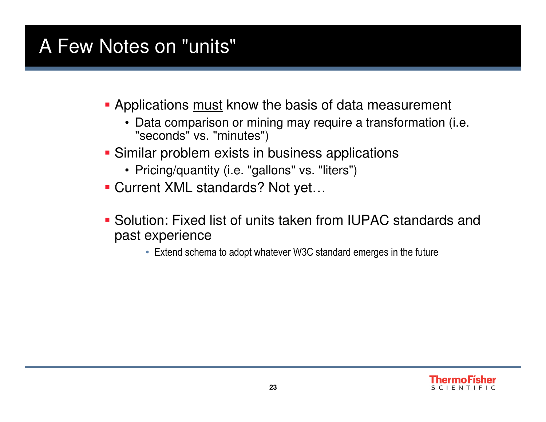## A Few Notes on "units"

- **Applications <u>must</u> know the basis of data measurement** 
	- Data comparison or mining may require a transformation (i.e. "seconds" vs. "minutes")
- **Similar problem exists in business applications** 
	- Pricing/quantity (i.e. "gallons" vs. "liters")
- Current XML standards? Not yet…
- Solution: Fixed list of units taken from IUPAC standards and past experience
	- Extend schema to adopt whatever W3C standard emerges in the future

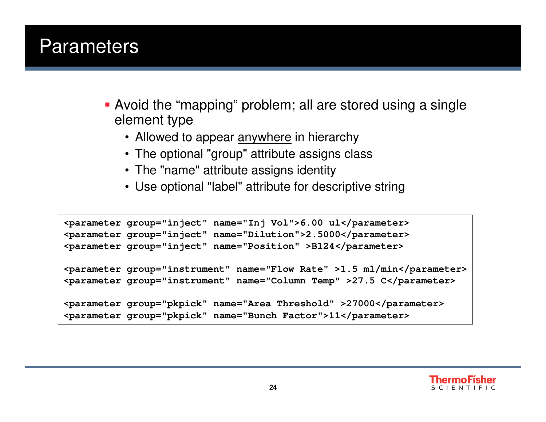#### **Parameters**

- Avoid the "mapping" problem; all are stored using a single element type
	- Allowed to appear <u>anywhere</u> in hierarchy
	- The optional "group" attribute assigns class
	- The "name" attribute assigns identity
	- Use optional "label" attribute for descriptive string

```
<parameter group="inject" name="Inj Vol">6.00 ul</parameter>
<parameter group="inject" name="Dilution">2.5000</parameter>
<parameter group="inject" name="Position" >B124</parameter><parameter group="instrument" name="Flow Rate" >1.5 ml/min</parameter><parameter group="instrument" name="Column Temp" >27.5 C</parameter><parameter group="pkpick" name="Area Threshold" >27000</parameter><parameter group="pkpick" name="Bunch Factor">11</parameter>
```
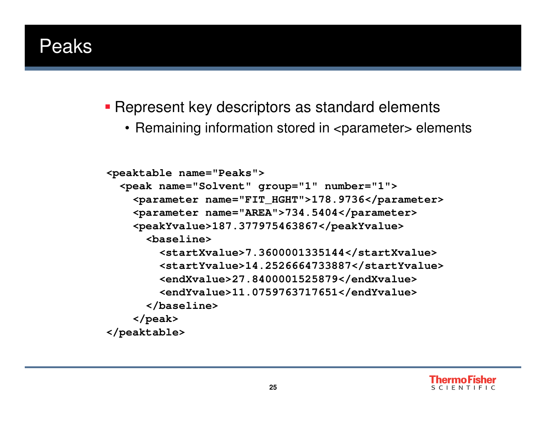#### Peaks

**Represent key descriptors as standard elements** 

• Remaining information stored in  $<$ parameter $>$  elements

```
<peaktable name="Peaks">
 <peak name="Solvent" group="1" number="1">
<parameter name="FIT_HGHT">178.9736</parameter><parameter name="AREA">734.5404</parameter><peakYvalue>187.377975463867</peakYvalue><baseline>
<startXvalue>7.3600001335144</startXvalue>
<startYvalue>14.2526664733887</startYvalue><endXvalue>27.8400001525879</endXvalue>
<endYvalue>11.0759763717651</endYvalue></baseline></peak>
</peaktable>
```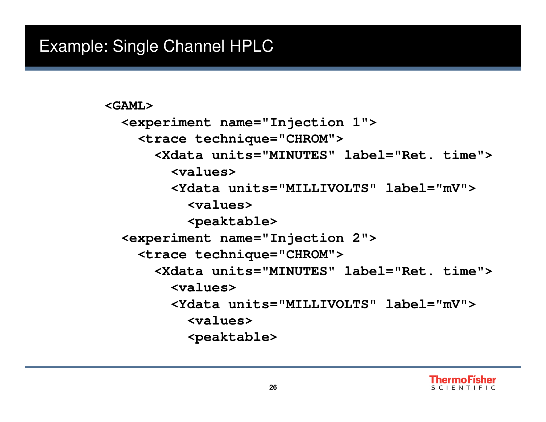```
<GAML>
<experiment name="Injection 1"><trace technique="CHROM">
<Xdata units="MINUTES" label="Ret. time">
        <values>
<Ydata units="MILLIVOLTS" label="mV">
          <values>
<peaktable>
<experiment name="Injection 2"><trace technique="CHROM">
<Xdata units="MINUTES" label="Ret. time">
        <values>
<Ydata units="MILLIVOLTS" label="mV">
          <values>
<peaktable>
```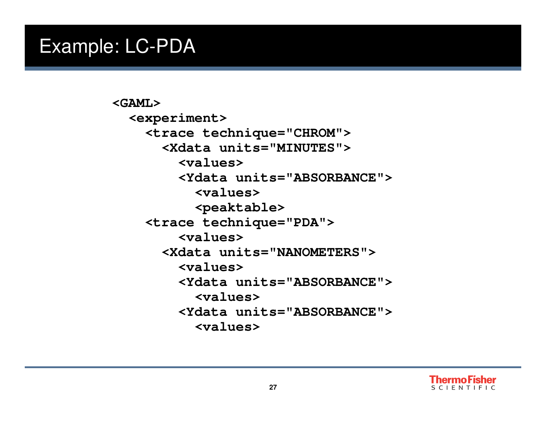#### Example: LC-PDA

**<GAML> <experiment> <trace technique="CHROM"> <Xdata units="MINUTES"> <values> <Ydata units="ABSORBANCE"> <values> <peaktable> <trace technique="PDA"><values> <Xdata units="NANOMETERS"> <values> <Ydata units="ABSORBANCE"> <values> <Ydata units="ABSORBANCE"> <values>**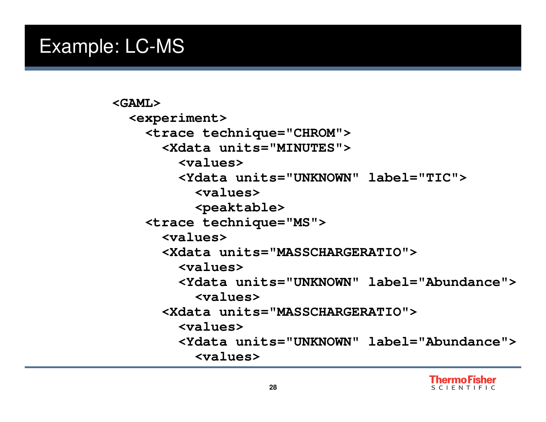#### Example: LC-MS

```
<GAML>
<experiment>
<trace technique="CHROM">
<Xdata units="MINUTES">
        <values>
<Ydata units="UNKNOWN" label="TIC">
          <values>
<peaktable>
<trace technique="MS"><values>
<Xdata units="MASSCHARGERATIO">
        <values>
<Ydata units="UNKNOWN" label="Abundance">
          <values>
<Xdata units="MASSCHARGERATIO">
        <values>
<Ydata units="UNKNOWN" label="Abundance">
          <values>
```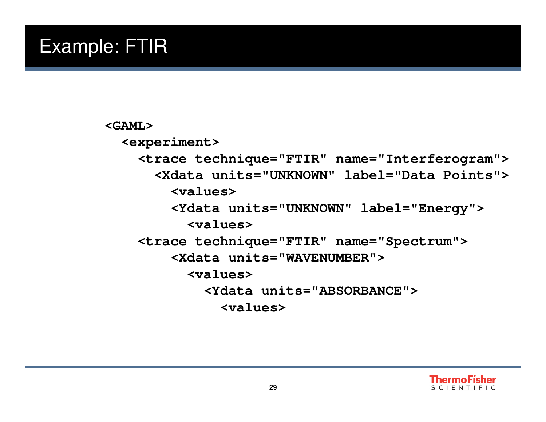### Example: FTIR

#### **<GAML> <experiment> <trace technique="FTIR" name="Interferogram"> <Xdata units="UNKNOWN" label="Data Points"> <values> <Ydata units="UNKNOWN" label="Energy"> <values> <trace technique="FTIR" name="Spectrum"><Xdata units="WAVENUMBER"> <values> <Ydata units="ABSORBANCE"> <values>**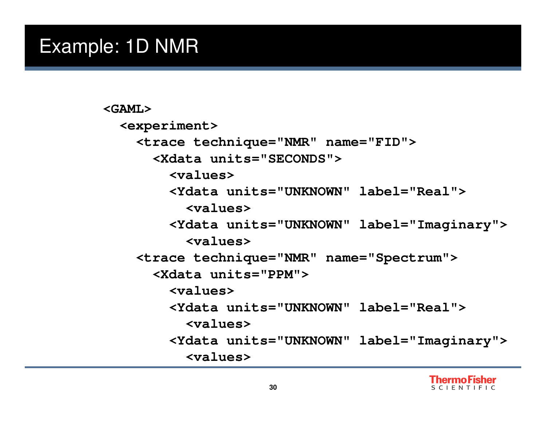#### Example: 1D NMR

```
<GAML>
<experiment>
<trace technique="NMR" name="FID"><Xdata units="SECONDS">
        <values>
<Ydata units="UNKNOWN" label="Real">
          <values>
<Ydata units="UNKNOWN" label="Imaginary">
          <values>
<trace technique="NMR" name="Spectrum"><Xdata units="PPM">
        <values>
<Ydata units="UNKNOWN" label="Real">
          <values>
<Ydata units="UNKNOWN" label="Imaginary">
          <values>
```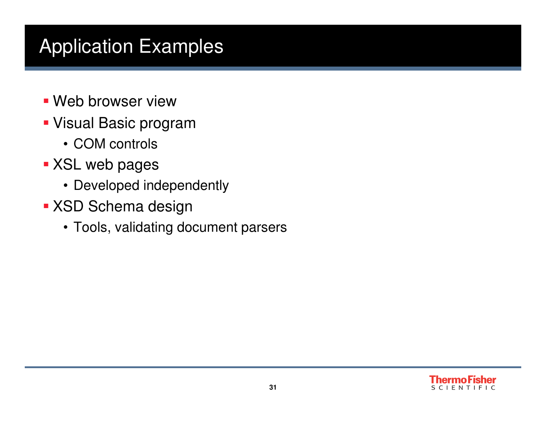## Application Examples

- Web browser view
- Visual Basic program
	- COM controls
- XSL web pages
	- Developed independently
- **KSD Schema design** 
	- Tools, validating document parsers

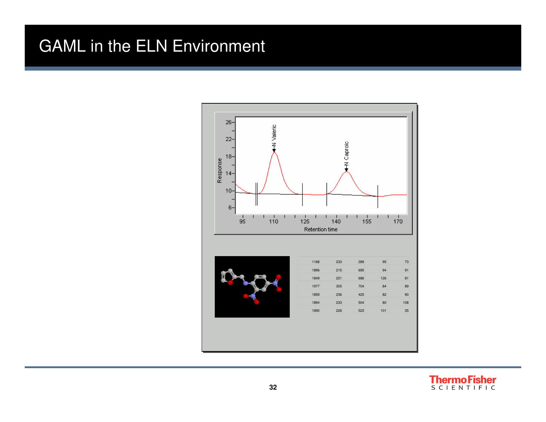#### GAML in the ELN Environment